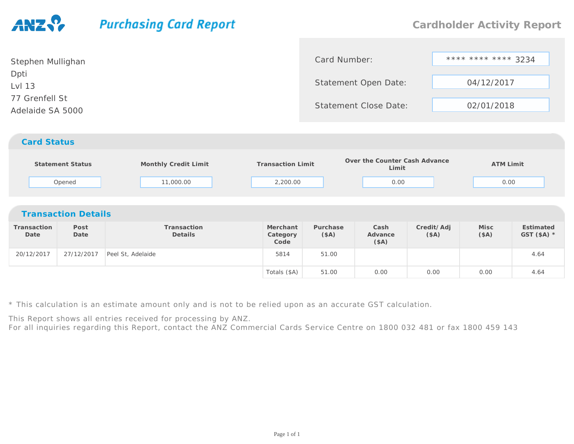## **Purchasing Card Report**

| Stephen Mullighan                  | Card Number:                 | **** **** **** 3234 |
|------------------------------------|------------------------------|---------------------|
| Dpti<br>Lvl 13                     | Statement Open Date:         | 04/12/2017          |
| 77 Grenfell St<br>Adelaide SA 5000 | <b>Statement Close Date:</b> | 02/01/2018          |
|                                    |                              |                     |

## *Card Status*

|                            | <b>Statement Status</b><br>Opened | Monthly Credit Limit<br>11,000.00 | <b>Transaction Limit</b><br>2,200.00 |                  | Over the Counter Cash Advance<br>Limit<br>0.00 |                    | <b>ATM Limit</b><br>0.00 |                           |  |  |
|----------------------------|-----------------------------------|-----------------------------------|--------------------------------------|------------------|------------------------------------------------|--------------------|--------------------------|---------------------------|--|--|
| <b>Transaction Details</b> |                                   |                                   |                                      |                  |                                                |                    |                          |                           |  |  |
| Transaction<br>Date        | Post<br>Date                      | Transaction<br>Details            | Merchant<br>Category<br>Code         | Purchase<br>(SA) | Cash<br>Advance<br>(\$A)                       | Credit/Adj<br>(SA) | Misc<br>(SA)             | Estimated<br>GST $(SA)$ * |  |  |
| 20/12/2017                 | 27/12/2017                        | Peel St, Adelaide                 | 5814                                 | 51.00            |                                                |                    |                          | 4.64                      |  |  |
|                            |                                   |                                   | Totals (\$A)                         | 51.00            | 0.00                                           | 0.00               | 0.00                     | 4.64                      |  |  |

\* This calculation is an estimate amount only and is not to be relied upon as an accurate GST calculation.

This Report shows all entries received for processing by ANZ.

For all inquiries regarding this Report, contact the ANZ Commercial Cards Service Centre on 1800 032 481 or fax 1800 459 143